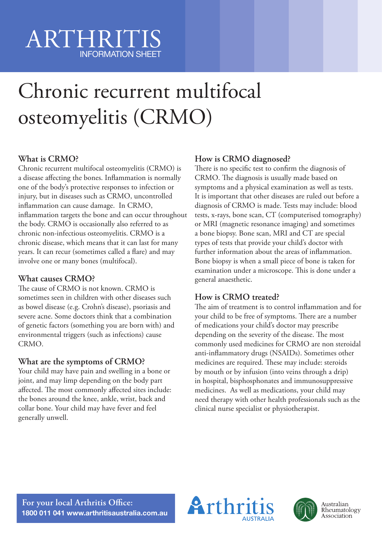# ARTHRITIS INFORMATION SHEET

# Chronic recurrent multifocal osteomyelitis (CRMO)

# **What is CRMO?**

Chronic recurrent multifocal osteomyelitis (CRMO) is a disease affecting the bones. Inflammation is normally one of the body's protective responses to infection or injury, but in diseases such as CRMO, uncontrolled inflammation can cause damage. In CRMO, inflammation targets the bone and can occur throughout the body. CRMO is occasionally also referred to as chronic non-infectious osteomyelitis. CRMO is a chronic disease, which means that it can last for many years. It can recur (sometimes called a flare) and may involve one or many bones (multifocal).

## **What causes CRMO?**

The cause of CRMO is not known. CRMO is sometimes seen in children with other diseases such as bowel disease (e.g. Crohn's disease), psoriasis and severe acne. Some doctors think that a combination of genetic factors (something you are born with) and environmental triggers (such as infections) cause CRMO.

### **What are the symptoms of CRMO?**

Your child may have pain and swelling in a bone or joint, and may limp depending on the body part affected. The most commonly affected sites include: the bones around the knee, ankle, wrist, back and collar bone. Your child may have fever and feel generally unwell.

## **How is CRMO diagnosed?**

There is no specific test to confirm the diagnosis of CRMO. The diagnosis is usually made based on symptoms and a physical examination as well as tests. It is important that other diseases are ruled out before a diagnosis of CRMO is made. Tests may include: blood tests, x-rays, bone scan, CT (computerised tomography) or MRI (magnetic resonance imaging) and sometimes a bone biopsy. Bone scan, MRI and CT are special types of tests that provide your child's doctor with further information about the areas of inflammation. Bone biopsy is when a small piece of bone is taken for examination under a microscope. This is done under a general anaesthetic.

## **How is CRMO treated?**

The aim of treatment is to control inflammation and for your child to be free of symptoms. There are a number of medications your child's doctor may prescribe depending on the severity of the disease. The most commonly used medicines for CRMO are non steroidal anti-inflammatory drugs (NSAIDs). Sometimes other medicines are required. These may include: steroids by mouth or by infusion (into veins through a drip) in hospital, bisphosphonates and immunosuppressive medicines. As well as medications, your child may need therapy with other health professionals such as the clinical nurse specialist or physiotherapist.